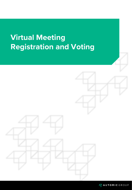# **Virtual Meeting Registration and Voting**



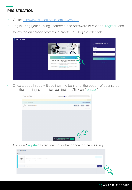## **REGISTRATION**

- Go to: [https://investor.automic.com.au/#/home.](https://investor.automic.com.au/#/home)
- Log in using your existing username and password or click on "register" and follow the on-screen prompts to create your login credentials.



• Once logged in you will see from the banner at the bottom of your screen that the meeting is open for registration. Click on "register".

|              | Your Portfolio                                                                | show zero bolances                                                                                          | $\alpha$<br>Company / ASX code                               |
|--------------|-------------------------------------------------------------------------------|-------------------------------------------------------------------------------------------------------------|--------------------------------------------------------------|
|              | Security Notice We advise you to turn on MFA security to protect your account |                                                                                                             | monoge MFA<br>Con't show again@                              |
|              | I'''''004369 MRS JAMIE HOBBS                                                  |                                                                                                             | P Documents & Stotements                                     |
| ABCU.<br>ABC | Sample Corporation LTD<br>ORDINARY FULLY PAID SHARES                          | 10,000,000                                                                                                  | reinvestment plans<br>pouments<br>my details<br>transactions |
|              |                                                                               |                                                                                                             |                                                              |
|              |                                                                               |                                                                                                             |                                                              |
|              |                                                                               |                                                                                                             |                                                              |
|              |                                                                               |                                                                                                             |                                                              |
|              |                                                                               |                                                                                                             |                                                              |
|              |                                                                               |                                                                                                             |                                                              |
|              |                                                                               |                                                                                                             |                                                              |
|              |                                                                               |                                                                                                             |                                                              |
|              |                                                                               |                                                                                                             | $C^2$                                                        |
|              |                                                                               | You have Virtual Meetings taking place today<br>自<br>To register for these click 'register'<br>Q1300 288 66 | Register<br>Rights Reserved.                                 |

Click on "register" to register your attendance for the meeting.



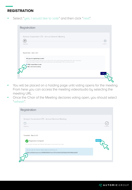#### **REGISTRATION**

Select "yes, I would like to vote" and then click "next".



- You will be placed on a holding page until voting opens for the meeting. From here you can access the meeting video/audio by selecting the meeting URL.
- Once the Chair of the Meeting declares voting open, you should select "refresh".



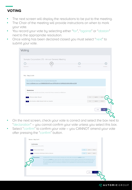# **VOTING**

- The next screen will display the resolutions to be put to the meeting.
- The Chair of the meeting will provide instructions on when to mark your vote.
- You record your vote by selecting either "for", "against" or "abstain" next to the appropriate resolution.
- Once voting has been declared closed you must select "next" to submit your vote.

| Voting                                                  |                                                                                                                                        |        |                           |  |  |  |
|---------------------------------------------------------|----------------------------------------------------------------------------------------------------------------------------------------|--------|---------------------------|--|--|--|
| Registration                                            | Sample Corporation LTD - Annual General Meeting<br>$_{\odot}$<br>Poll                                                                  | Review | Complete                  |  |  |  |
| Poll - Step 2 of 4                                      | You can join the meeting online using the following link<br>https://us02web.zoom.us/j/84986335645?pwd=QTFUUGhjblYyZjNQd2xVWXdiMGgwZz09 |        |                           |  |  |  |
| <b>Resolutions</b><br><b>Remuneration Report</b><br>-11 | You must vote on all resolutions, except for those marked as withdrawn.<br>for<br>against<br>abstain                                   |        |                           |  |  |  |
| $\overline{\mathbf{2}}$                                 | Re-Election of Mr Robert Smith as Director                                                                                             |        | for<br>against<br>abstain |  |  |  |
|                                                         |                                                                                                                                        |        | prev<br>next              |  |  |  |

- On the next screen, check your vote is correct and select the box next to "declaration" – you cannot confirm your vote unless you select this box.
- Select "confirm" to confirm your vote you CANNOT amend your vote after pressing the "confirm" button.

| Please review and confirm. | Confirmation                                                                                                                                                                                                                                                                                                                                                   |     |          |         |  |  |
|----------------------------|----------------------------------------------------------------------------------------------------------------------------------------------------------------------------------------------------------------------------------------------------------------------------------------------------------------------------------------------------------------|-----|----------|---------|--|--|
| Remuneration Report        |                                                                                                                                                                                                                                                                                                                                                                | for | gaginst  | abstain |  |  |
|                            | Re-Election of Mr Robert Smith as Director                                                                                                                                                                                                                                                                                                                     | tor | against. | abstain |  |  |
|                            | PLEASE NOTE: You will not be able to change your votes after pressing the confirm button.                                                                                                                                                                                                                                                                      |     |          |         |  |  |
|                            | By pressing confirm you agree that this online voting form has been signed, authorised and submitted by you, in<br>your capacity as a registered holder (or legally authorised representative) of the Company, in accordance with<br>the requirements under the Company's Constitution, the Corporations Act 2001 (Cth) and Automic's terms and<br>conditions. |     |          |         |  |  |